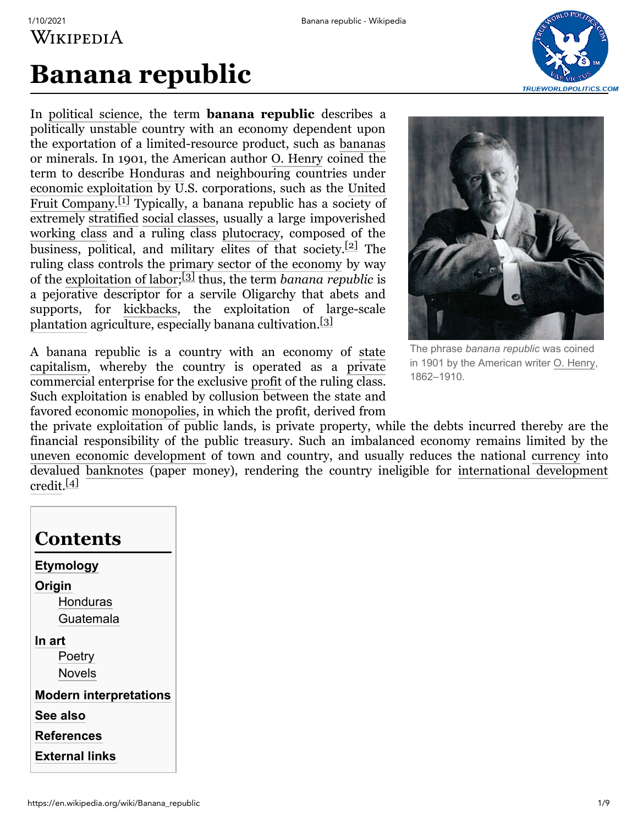# **Banana republic**

In [political science,](https://en.wikipedia.org/wiki/Political_science) the term **banana republic** describes a politically unstable country with an economy dependent upon the exportation of a limited-resource product, such as [bananas](https://en.wikipedia.org/wiki/Banana) or minerals. In 1901, the American author [O. Henry](https://en.wikipedia.org/wiki/O._Henry) coined the term to describe [Honduras](https://en.wikipedia.org/wiki/Honduras) and neighbouring countries under [economic exploitation](https://en.wikipedia.org/wiki/Exploitation_of_natural_resources) by U.S. corporations, such as the United Fruit Company.<sup>[\[1\]](#page-5-0)</sup> [Typically, a banana republic has a society of](https://en.wikipedia.org/wiki/United_Fruit_Company) extremely [stratified](https://en.wikipedia.org/wiki/Social_stratification) [social classes,](https://en.wikipedia.org/wiki/Social_class) usually a large impoverished [working class](https://en.wikipedia.org/wiki/Working_class) and a ruling class [plutocracy,](https://en.wikipedia.org/wiki/Plutocracy) composed of the business, political, and military elites of that society. $[2]$  The ruling class controls the [primary sector of the economy](https://en.wikipedia.org/wiki/Primary_sector_of_the_economy) by way of the [exploitation of labor;](https://en.wikipedia.org/wiki/Exploitation_of_labor) [\[3\]](#page-5-2) thus, the term *banana republic* is a pejorative descriptor for a servile Oligarchy that abets and supports, for [kickbacks](https://en.wikipedia.org/wiki/Political_corruption#Kickbacks), the exploitation of large-scale [plantation](https://en.wikipedia.org/wiki/Plantation) agriculture, especially banana cultivation.<sup>[\[3\]](#page-5-2)</sup>

[A banana republic is a country with an economy of state](https://en.wikipedia.org/wiki/State_capitalism) capitalism, whereby the country is operated as a [private](https://en.wikipedia.org/wiki/Private_property) commercial enterprise for the exclusive [profit](https://en.wikipedia.org/wiki/Profit_(economics)) of the ruling class. Such exploitation is enabled by collusion between the state and favored economic [monopolies](https://en.wikipedia.org/wiki/Monopoly), in which the profit, derived from



The phrase *banana republic* was coined in 1901 by the American writer O. [Henry](https://en.wikipedia.org/wiki/O._Henry), 1862–1910.

the private exploitation of public lands, is private property, while the debts incurred thereby are the financial responsibility of the public treasury. Such an imbalanced economy remains limited by the [uneven economic development](https://en.wikipedia.org/wiki/Uneven_and_combined_development) of town and country, and usually reduces the national [currency](https://en.wikipedia.org/wiki/Currency) into devalued [banknotes](https://en.wikipedia.org/wiki/Banknote) [\(paper money\), rendering the country ineligible for international development](https://en.wikipedia.org/wiki/Development_aid) credit.[<u>4]</u>

| <b>Contents</b>               |
|-------------------------------|
| <b>Etymology</b>              |
| Origin                        |
| Honduras                      |
| Guatemala                     |
| In art                        |
| Poetry                        |
| Novels                        |
| <b>Modern interpretations</b> |
| See also                      |
| <b>References</b>             |
| External links                |
|                               |

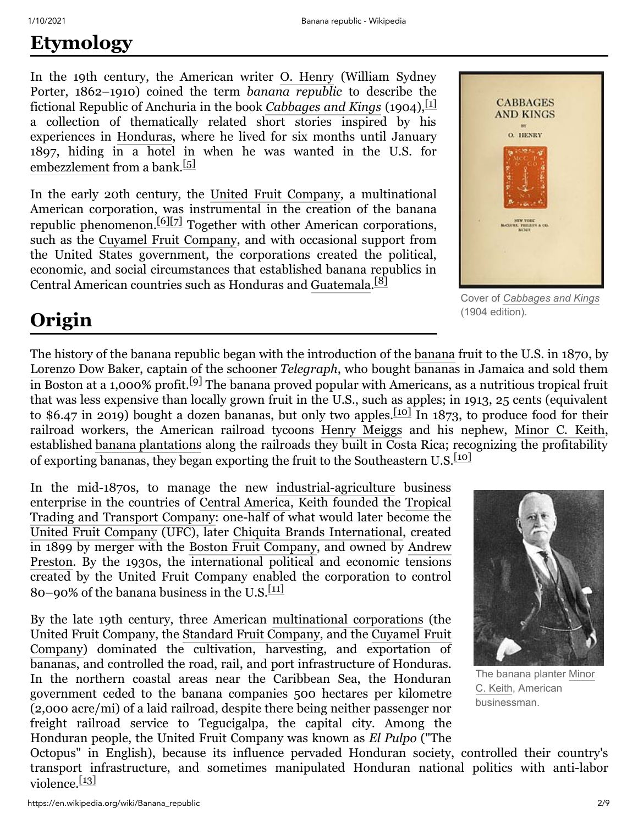# <span id="page-1-0"></span>**Etymology**

In the 19th century, the American writer [O. Henry](https://en.wikipedia.org/wiki/O._Henry) (William Sydney Porter, 1862–1910) coined the term *banana republic* to describe the fictional Republic of Anchuria in the book *[Cabbages and Kings](https://en.wikipedia.org/wiki/Cabbages_and_Kings_(novel))* (1904), <sup>[\[1\]](#page-5-0)</sup> a collection of thematically related short stories inspired by his experiences in [Honduras](https://en.wikipedia.org/wiki/Honduras), where he lived for six months until January 1897, hiding in a hotel in when he was wanted in the U.S. for [embezzlement](https://en.wikipedia.org/wiki/Embezzlement) from a bank.<sup>[\[5\]](#page-5-6)</sup>

In the early 20th century, the [United Fruit Company,](https://en.wikipedia.org/wiki/United_Fruit_Company) a multinational American corporation, was instrumental in the creation of the banana republic phenomenon.[\[6\]](#page-5-7)[\[7\]](#page-5-8) Together with other American corporations, such as the [Cuyamel Fruit Company](https://en.wikipedia.org/wiki/Cuyamel_Fruit_Company), and with occasional support from the United States government, the corporations created the political, economic, and social circumstances that established banana republics in Central American countries such as Honduras and [Guatemala](https://en.wikipedia.org/wiki/Guatemala). [\[8\]](#page-6-0)



Cover of *[Cabbages](https://en.wikipedia.org/wiki/Cabbages_and_Kings_(literature)) and Kings* (1904 edition).

# <span id="page-1-1"></span>**Origin**

The history of the banana republic began with the introduction of the [banana](https://en.wikipedia.org/wiki/Banana) fruit to the U.S. in 1870, by [Lorenzo Dow Baker](https://en.wikipedia.org/wiki/Lorenzo_Dow_Baker), captain of the [schooner](https://en.wikipedia.org/wiki/Schooner) *Telegraph*, who bought bananas in Jamaica and sold them in Boston at a 1,000% profit.<sup>[\[9\]](#page-6-1)</sup> The banana proved popular with Americans, as a nutritious tropical fruit that was less expensive than locally grown fruit in the U.S., such as apples; in 1913, 25 cents (equivalent to \$6.47 in 2019) bought a dozen bananas, but only two apples.<sup>[\[10\]](#page-6-2)</sup> In 1873, to produce food for their railroad workers, the American railroad tycoons [Henry Meiggs](https://en.wikipedia.org/wiki/Henry_Meiggs) and his nephew, [Minor C. Keith,](https://en.wikipedia.org/wiki/Minor_C._Keith) established [banana plantations](https://en.wikipedia.org/wiki/Banana_plantation) along the railroads they built in Costa Rica; recognizing the profitability of exporting bananas, they began exporting the fruit to the Southeastern U.S. $\frac{10}{10}$ 

In the mid-1870s, to manage the new [industrial-agriculture](https://en.wikipedia.org/wiki/Agribusiness) business [enterprise in the countries of C](https://en.wikipedia.org/wiki/Tropical_Trading_and_Transport_Company)[entral America](https://en.wikipedia.org/wiki/Central_America)[, Keith founded the Tropical](https://en.wikipedia.org/wiki/Tropical_Trading_and_Transport_Company) Trading and Transport Company: one-half of what would later become the [United Fruit Company](https://en.wikipedia.org/wiki/United_Fruit_Company) (UFC), later [Chiquita Brands International,](https://en.wikipedia.org/wiki/Chiquita_Brands_International) created in 1899 by merger with the [Boston Fruit Company](https://en.wikipedia.org/wiki/Boston_Fruit_Company), and owned by Andrew [Preston. By the 1930s, the international political and economic tensions](https://en.wikipedia.org/wiki/Andrew_Preston) created by the United Fruit Company enabled the corporation to control 80–90% of the banana business in the U.S. $\frac{[11]}{[11]}$  $\frac{[11]}{[11]}$  $\frac{[11]}{[11]}$ 

By the late 19th century, three American [multinational corporations](https://en.wikipedia.org/wiki/Multinational_corporation) (the United Fruit Company, the [Standard Fruit Company](https://en.wikipedia.org/wiki/Standard_Fruit_Company), and the Cuyamel Fruit [Company\) dominated the cultivation, harvesting, and exportation of](https://en.wikipedia.org/wiki/Cuyamel_Fruit_Company) bananas, and controlled the road, rail, and port infrastructure of Honduras. In the northern coastal areas near the Caribbean Sea, the Honduran government ceded to the banana companies 500 hectares per kilometre (2,000 acre/mi) of a laid railroad, despite there being neither passenger nor freight railroad service to Tegucigalpa, the capital city. Among the Honduran people, the United Fruit Company was known as *El Pulpo* ("The



The banana planter Minor C. Keith, [American](https://en.wikipedia.org/wiki/Minor_Cooper_Keith) businessman.

Octopus" in English), because its influence pervaded Honduran society, controlled their country's transport infrastructure, and sometimes manipulated Honduran national politics with anti-labor violence.<sup>[\[13\]](#page-6-4)</sup>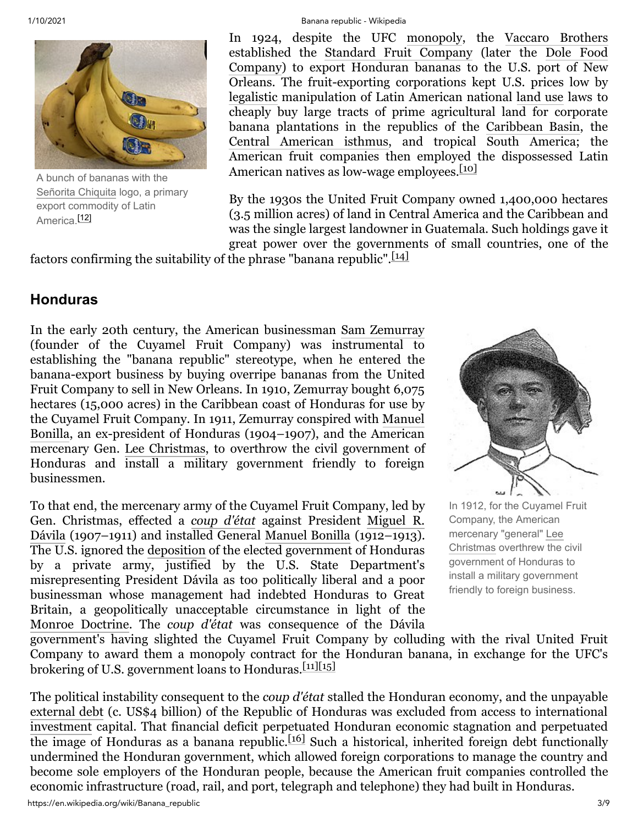

A bunch of bananas with the [Señorita](https://en.wikipedia.org/wiki/Chiquita) Chiquita logo, a primary export commodity of Latin America.[\[12\]](#page-6-5)

#### 1/10/2021 Banana republic - Wikipedia

In 1924, despite the UFC [monopoly,](https://en.wikipedia.org/wiki/Monopoly) the [Vaccaro Brothers](https://en.wikipedia.org/wiki/Vaccaro_Brothers) established the [Standard Fruit Company](https://en.wikipedia.org/wiki/Standard_Fruit_Company) (later the Dole Food [Company\) to export Honduran bananas to the U.S. port of New](https://en.wikipedia.org/wiki/Dole_Food_Company) Orleans. The fruit-exporting corporations kept U.S. prices low by [legalistic](https://en.wikipedia.org/wiki/Legalism_(Western_philosophy)) manipulation of Latin American national [land use](https://en.wikipedia.org/wiki/Land_use) laws to cheaply buy large tracts of prime agricultural land for corporate banana plantations in the republics of the [Caribbean Basin,](https://en.wikipedia.org/wiki/Caribbean_Basin) the [Central American isthmus,](https://en.wikipedia.org/wiki/Central_America) and tropical South America; the American fruit companies then employed the dispossessed Latin American natives as low-wage employees. $[10]$ 

By the 1930s the United Fruit Company owned 1,400,000 hectares (3.5 million acres) of land in Central America and the Caribbean and was the single largest landowner in Guatemala. Such holdings gave it great power over the governments of small countries, one of the

factors confirming the suitability of the phrase "banana republic".[\[14\]](#page-6-6)

#### <span id="page-2-0"></span>**Honduras**

In the early 20th century, the American businessman [Sam Zemurray](https://en.wikipedia.org/wiki/Sam_Zemurray) (founder of the Cuyamel Fruit Company) was instrumental to establishing the "banana republic" stereotype, when he entered the banana-export business by buying overripe bananas from the United Fruit Company to sell in New Orleans. In 1910, Zemurray bought 6,075 hectares (15,000 acres) in the Caribbean coast of Honduras for use by the Cuyamel Fruit Company. In 1911, Zemurray conspired with Manuel [Bonilla, an ex-president of Honduras \(1904–1907\), and the American](https://en.wikipedia.org/wiki/Manuel_Bonilla) mercenary Gen. [Lee Christmas](https://en.wikipedia.org/wiki/Lee_Christmas), to overthrow the civil government of Honduras and install a military government friendly to foreign businessmen.

To that end, the mercenary army of the Cuyamel Fruit Company, led by Gen. Christmas, effected a *[coup d'état](https://en.wikipedia.org/wiki/Coup_d%27%C3%A9tat)* against President Miguel R. Dávila [\(1907–1911\) and installed General Manuel Bonilla](https://en.wikipedia.org/wiki/Miguel_R._D%C3%A1vila) (1912–1913). The U.S. ignored the [deposition](https://en.wikipedia.org/wiki/Deposition_(politics)) of the elected government of Honduras by a private army, justified by the U.S. State Department's misrepresenting President Dávila as too politically liberal and a poor businessman whose management had indebted Honduras to Great Britain, a geopolitically unacceptable circumstance in light of the [Monroe Doctrine.](https://en.wikipedia.org/wiki/Monroe_Doctrine) The *coup d'état* was consequence of the Dávila



In 1912, for the Cuyamel Fruit Company, the American [mercenary](https://en.wikipedia.org/wiki/Lee_Christmas) "general" Lee Christmas overthrew the civil government of Honduras to install a military government friendly to foreign business.

government's having slighted the Cuyamel Fruit Company by colluding with the rival United Fruit Company to award them a monopoly contract for the Honduran banana, in exchange for the UFC's brokering of U.S. government loans to Honduras. $\frac{[11][15]}{[11]}$  $\frac{[11][15]}{[11]}$  $\frac{[11][15]}{[11]}$  $\frac{[11][15]}{[11]}$ 

The political instability consequent to the *coup d'état* stalled the Honduran economy, and the unpayable [external debt](https://en.wikipedia.org/wiki/External_debt) (c. US\$4 billion) of the Republic of Honduras was excluded from access to international [investment](https://en.wikipedia.org/wiki/Investment) capital. That financial deficit perpetuated Honduran economic stagnation and perpetuated the image of Honduras as a banana republic.<sup>[\[16\]](#page-6-8)</sup> Such a historical, inherited foreign debt functionally undermined the Honduran government, which allowed foreign corporations to manage the country and become sole employers of the Honduran people, because the American fruit companies controlled the economic infrastructure (road, rail, and port, telegraph and telephone) they had built in Honduras.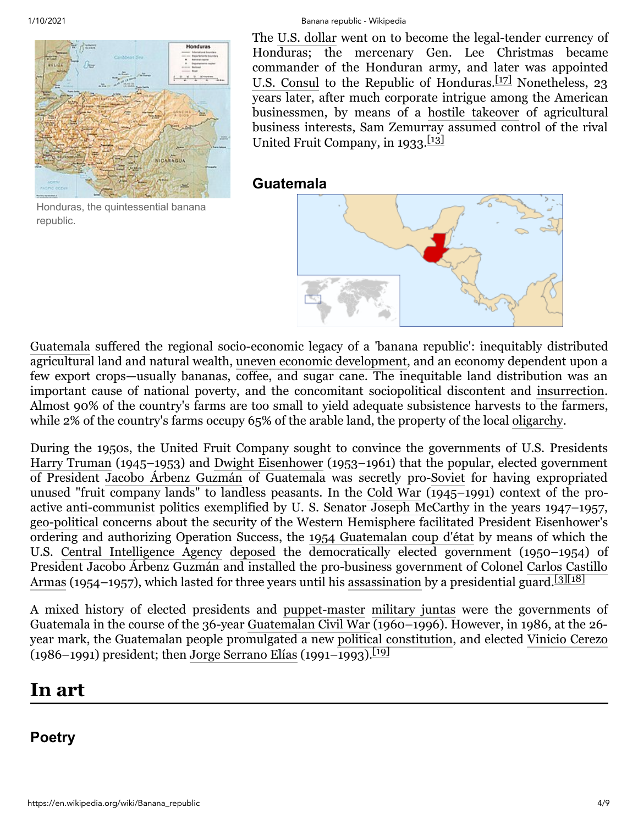

Honduras, the quintessential banana republic.

#### 1/10/2021 Banana republic - Wikipedia

The [U.S. dollar](https://en.wikipedia.org/wiki/United_States_dollar) went on to become the legal-tender currency of Honduras; the mercenary Gen. Lee Christmas became commander of the Honduran army, and later was appointed [U.S. Consul](https://en.wikipedia.org/wiki/Consul_(representative)) to the Republic of Honduras. $\frac{17}{7}$  Nonetheless, 23 years later, after much corporate intrigue among the American businessmen, by means of a [hostile takeover](https://en.wikipedia.org/wiki/Takeover) of agricultural business interests, Sam Zemurray assumed control of the rival United Fruit Company, in  $1933$ .<sup>[\[13\]](#page-6-4)</sup>

#### <span id="page-3-0"></span>**Guatemala**



[Guatemala](https://en.wikipedia.org/wiki/Guatemala) suffered the regional socio-economic legacy of a 'banana republic': inequitably distributed agricultural land and natural wealth, [uneven economic development](https://en.wikipedia.org/wiki/Uneven_and_combined_development), and an economy dependent upon a few export crops—usually bananas, coffee, and sugar cane. The inequitable land distribution was an important cause of national poverty, and the concomitant sociopolitical discontent and [insurrection](https://en.wikipedia.org/wiki/Civil_war). Almost 90% of the country's farms are too small to yield adequate subsistence harvests to the farmers, while 2% of the country's farms occupy 65% of the arable land, the property of the local [oligarchy](https://en.wikipedia.org/wiki/Oligarchy).

During the 1950s, the United Fruit Company sought to convince the governments of U.S. Presidents [Harry Truman](https://en.wikipedia.org/wiki/Harry_S._Truman) (1945–1953) and [Dwight Eisenhower](https://en.wikipedia.org/wiki/Dwight_D._Eisenhower) (1953–1961) that the popular, elected government of President [Jacobo Árbenz Guzmán](https://en.wikipedia.org/wiki/Jacobo_Arbenz_Guzm%C3%A1n) of Guatemala was secretly pro-[Soviet](https://en.wikipedia.org/wiki/Soviet_Union) for having expropriated unused "fruit company lands" to landless peasants. In the [Cold War](https://en.wikipedia.org/wiki/Cold_War) (1945–1991) context of the proactive [anti-communist](https://en.wikipedia.org/wiki/Anti-Communism) politics exemplified by U. S. Senator [Joseph McCarthy](https://en.wikipedia.org/wiki/Joseph_McCarthy) in the years 1947–1957, [geo-political](https://en.wikipedia.org/wiki/Geopolitics) concerns about the security of the Western Hemisphere facilitated President Eisenhower's ordering and authorizing Operation Success, the [1954 Guatemalan coup d'état](https://en.wikipedia.org/wiki/1954_Guatemalan_coup_d%27%C3%A9tat) by means of which the U.S. [Central Intelligence Agency](https://en.wikipedia.org/wiki/Central_Intelligence_Agency) [deposed](https://en.wikipedia.org/wiki/Deposition_(politics)) the democratically elected government (1950–1954) of [President Jacobo Árbenz Guzmán and installed the pro-business government of Colonel Carlos Castillo](https://en.wikipedia.org/wiki/Carlos_Castillo_Armas) Armas (1954–1957), which lasted for three years until his [assassination](https://en.wikipedia.org/wiki/Assassination) by a presidential guard.<sup>[\[3\]](#page-5-2)[\[18\]](#page-6-10)</sup>

A mixed history of elected presidents and [puppet-master](https://en.wikipedia.org/wiki/Hegemony) [military juntas](https://en.wikipedia.org/wiki/Military_junta) were the governments of Guatemala in the course of the 36-year [Guatemalan Civil War](https://en.wikipedia.org/wiki/Guatemalan_Civil_War) (1960–1996). However, in 1986, at the 26 year mark, the Guatemalan people promulgated a new [political constitution,](https://en.wikipedia.org/wiki/Political_constitution) and elected [Vinicio Cerezo](https://en.wikipedia.org/wiki/Vinicio_Cerezo) (1986–1991) president; then [Jorge Serrano Elías](https://en.wikipedia.org/wiki/Jorge_Serrano_El%C3%ADas) (1991–1993).<sup>[\[19\]](#page-6-11)</sup>

## <span id="page-3-1"></span>**In art**

### <span id="page-3-2"></span>**Poetry**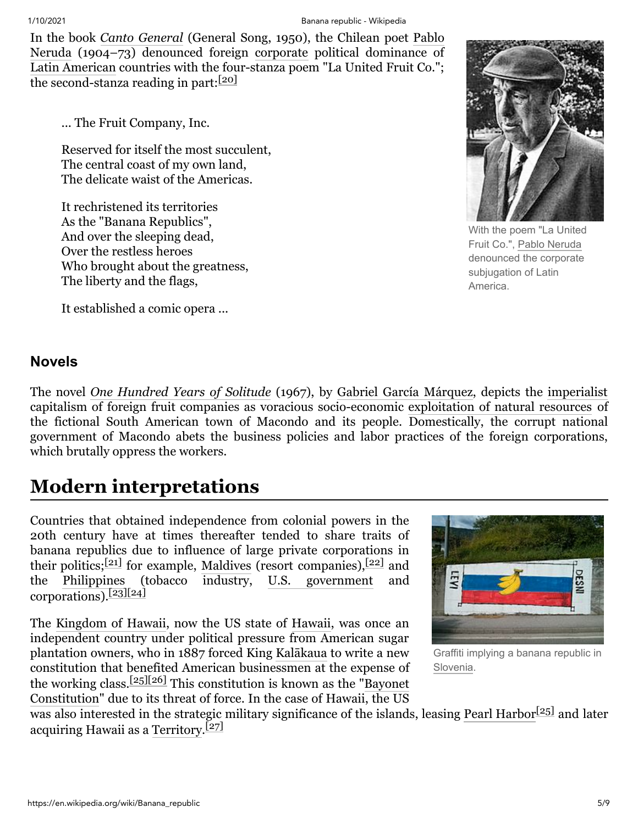In the book *[Canto General](https://en.wikipedia.org/wiki/Canto_General)* [\(General Song, 1950\), the Chilean poet Pablo](https://en.wikipedia.org/wiki/Pablo_Neruda) Neruda (1904–73) denounced foreign [corporate](https://en.wikipedia.org/wiki/Multinational_corporation) political dominance of [Latin American](https://en.wikipedia.org/wiki/Latin_America) countries with the four-stanza poem "La United Fruit Co."; the second-stanza reading in part: $[20]$ 

... The Fruit Company, Inc.

Reserved for itself the most succulent, The central coast of my own land, The delicate waist of the Americas.

It rechristened its territories As the "Banana Republics", And over the sleeping dead, Over the restless heroes Who brought about the greatness, The liberty and the flags,

It established a comic opera ...



With the poem "La United Fruit Co.", Pablo [Neruda](https://en.wikipedia.org/wiki/Pablo_Neruda) denounced the corporate subjugation of Latin America.

#### <span id="page-4-0"></span>**Novels**

The novel *[One Hundred Years of Solitude](https://en.wikipedia.org/wiki/One_Hundred_Years_of_Solitude)* (1967), by [Gabriel García Márquez,](https://en.wikipedia.org/wiki/Gabriel_Garc%C3%ADa_M%C3%A1rquez) depicts the [imperialist](https://en.wikipedia.org/wiki/Imperialism) capitalism of foreign fruit companies as voracious socio-economic [exploitation of natural resources](https://en.wikipedia.org/wiki/Exploitation_of_natural_resources) of the fictional South American town of Macondo and its people. Domestically, the corrupt national government of Macondo abets the business policies and labor practices of the foreign corporations, which brutally oppress the workers.

## <span id="page-4-1"></span>**Modern interpretations**

Countries that obtained independence from colonial powers in the 20th century have at times thereafter tended to share traits of banana republics due to influence of large private corporations in their politics;<sup>[\[21\]](#page-7-1)</sup> for example, [Maldives](https://en.wikipedia.org/wiki/Maldives) (resort companies),<sup>[\[22\]](#page-7-2)</sup> and the [Philippines](https://en.wikipedia.org/wiki/Philippines) (tobacco industry, [U.S. government](https://en.wikipedia.org/wiki/Government_of_the_USA) and corporations).[\[23\]](#page-7-3)[\[24\]](#page-7-4)

The [Kingdom of Hawaii](https://en.wikipedia.org/wiki/Kingdom_of_Hawaii), now the US state of [Hawaii,](https://en.wikipedia.org/wiki/Hawaii) was once an independent country under political pressure from American sugar plantation owners, who in 1887 forced King [Kalākaua](https://en.wikipedia.org/wiki/Kal%C4%81kaua) to write a new constitution that benefited American businessmen at the expense of the working class.<sup>[\[25\]](#page-7-5)[\[26\]](#page-7-6)</sup> This constitution is known as the "Bayonet" Constitution" due [to its threat of force. In the case of Hawaii, the US](https://en.wikipedia.org/wiki/1887_Constitution_of_the_Kingdom_of_Hawaii)



Graffiti implying a banana republic in [Slovenia](https://en.wikipedia.org/wiki/Slovenia).

was also interested in the strategic military significance of the islands, leasing [Pearl Harbor](https://en.wikipedia.org/wiki/Pearl_Harbor) $[25]$  and later acquiring Hawaii as a [Territory.](https://en.wikipedia.org/wiki/Territories_of_the_United_States)<sup>[\[27\]](#page-7-7)</sup>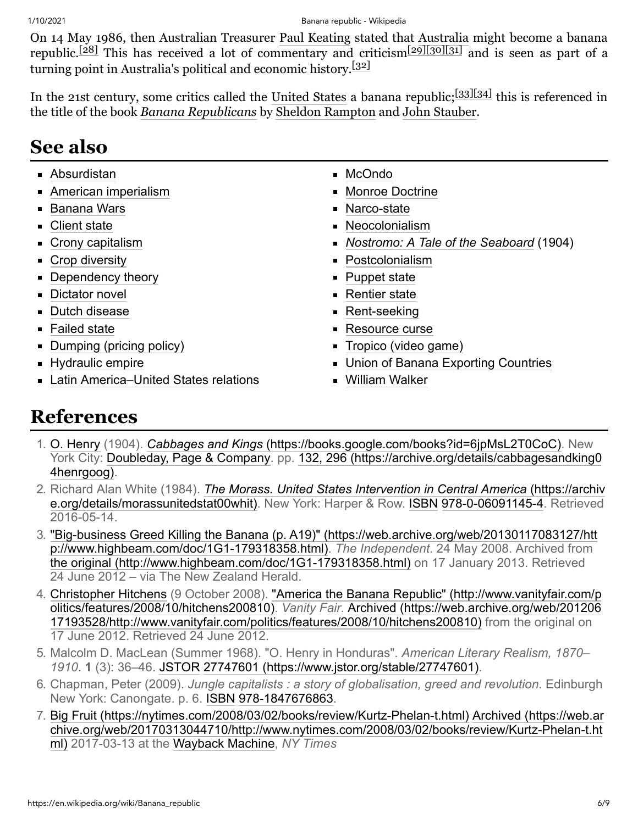On 14 May 1986, then Australian Treasurer [Paul Keating](https://en.wikipedia.org/wiki/Paul_Keating) stated that [Australia](https://en.wikipedia.org/wiki/Australia) might become a banana republic.<sup>[\[28\]](#page-7-8)</sup> This has received a lot of commentary and criticism<sup>[\[29\]](#page-7-9)[\[30\]](#page-7-10)[\[31\]](#page-7-11)</sup> and is seen as part of a turning point in Australia's political and economic history.<sup>[\[32\]](#page-7-12)</sup>

In the 21st century, some critics called the [United States](https://en.wikipedia.org/wiki/United_States) a banana republic; [\[33\]](#page-7-13)[\[34\]](#page-7-14) this is referenced in the title of the book *[Banana Republicans](https://en.wikipedia.org/wiki/Banana_Republicans)* by [Sheldon Rampton](https://en.wikipedia.org/wiki/Sheldon_Rampton) and [John Stauber](https://en.wikipedia.org/wiki/John_Stauber).

## <span id="page-5-4"></span>**See also**

- [Absurdistan](https://en.wikipedia.org/wiki/Absurdistan)
- **[American imperialism](https://en.wikipedia.org/wiki/American_imperialism)**
- [Banana Wars](https://en.wikipedia.org/wiki/Banana_Wars)
- [Client state](https://en.wikipedia.org/wiki/Client_state)
- [Crony capitalism](https://en.wikipedia.org/wiki/Crony_capitalism)
- [Crop diversity](https://en.wikipedia.org/wiki/Crop_diversity)
- [Dependency theory](https://en.wikipedia.org/wiki/Dependency_theory)
- **[Dictator novel](https://en.wikipedia.org/wiki/Dictator_novel)**
- **[Dutch disease](https://en.wikipedia.org/wiki/Dutch_disease)**
- [Failed state](https://en.wikipedia.org/wiki/Failed_state)
- **[Dumping \(pricing policy\)](https://en.wikipedia.org/wiki/Dumping_(pricing_policy))**
- **[Hydraulic empire](https://en.wikipedia.org/wiki/Hydraulic_empire)**
- [Latin America–United States relations](https://en.wikipedia.org/wiki/Latin_America%E2%80%93United_States_relations)
- [McOndo](https://en.wikipedia.org/wiki/McOndo)
- [Monroe Doctrine](https://en.wikipedia.org/wiki/Monroe_Doctrine)
- [Narco-state](https://en.wikipedia.org/wiki/Narco-state)
- [Neocolonialism](https://en.wikipedia.org/wiki/Neocolonialism)
- *[Nostromo: A Tale of the Seaboard](https://en.wikipedia.org/wiki/Nostromo)* (1904)
- [Postcolonialism](https://en.wikipedia.org/wiki/Postcolonialism)
- **[Puppet state](https://en.wikipedia.org/wiki/Puppet_state)**
- **[Rentier state](https://en.wikipedia.org/wiki/Rentier_state)**
- **[Rent-seeking](https://en.wikipedia.org/wiki/Rent-seeking)**
- **[Resource curse](https://en.wikipedia.org/wiki/Resource_curse)**
- [Tropico \(video game\)](https://en.wikipedia.org/wiki/Tropico_(video_game))
- **[Union of Banana Exporting Countries](https://en.wikipedia.org/wiki/Union_of_Banana_Exporting_Countries)**
- [William Walker](https://en.wikipedia.org/wiki/William_Walker_(filibuster))

## <span id="page-5-5"></span>**References**

- <span id="page-5-0"></span>1. [O. Henry](https://en.wikipedia.org/wiki/O._Henry) (1904). *Cabbages and Kings* [\(https://books.google.com/books?id=6jpMsL2T0CoC\).](https://books.google.com/books?id=6jpMsL2T0CoC) New [York City:](https://archive.org/details/cabbagesandking04henrgoog) [Doubleday, Page & Company](https://en.wikipedia.org/wiki/Doubleday_(publisher))[. pp. 132, 296 \(https://archive.org/details/cabbagesandking0](https://archive.org/details/cabbagesandking04henrgoog) 4henrgoog).
- <span id="page-5-1"></span>2. Richard Alan White (1984). *The Morass. United States Intervention in Central America* (https://archiv [e.org/details/morassunitedstat00whit\). New York: Harper & Row. ISBN](https://archive.org/details/morassunitedstat00whit) [978-0-06091145-4.](https://en.wikipedia.org/wiki/Special:BookSources/978-0-06091145-4) Retrieved 2016-05-14.
- <span id="page-5-2"></span>3. ["Big-business Greed Killing the Banana \(p. A19\)" \(https://web.archive.org/web/20130117083127/htt](https://web.archive.org/web/20130117083127/http://www.highbeam.com/doc/1G1-179318358.html) p://www.highbeam.com/doc/1G1-179318358.html). *The Independent*. 24 May 2008. Archived from [the original \(http://www.highbeam.com/doc/1G1-179318358.html\)](http://www.highbeam.com/doc/1G1-179318358.html) on 17 January 2013. Retrieved 24 June 2012 – via The New Zealand Herald.
- <span id="page-5-3"></span>4. [Christopher Hitchen](https://en.wikipedia.org/wiki/Christopher_Hitchens)[s \(9 October 2008\). "America the Banana Republic" \(http://www.vanityfair.com/p](http://www.vanityfair.com/politics/features/2008/10/hitchens200810) olitics/features/2008/10/hitchens200810). *Vanity Fair*. Archived (https://web.archive.org/web/201206 [17193528/http://www.vanityfair.com/politics/features/2008/10/hitchens200810\) from the original on](https://web.archive.org/web/20120617193528/http://www.vanityfair.com/politics/features/2008/10/hitchens200810) 17 June 2012. Retrieved 24 June 2012.
- <span id="page-5-6"></span>5. Malcolm D. MacLean (Summer 1968). "O. Henry in Honduras". *American Literary Realism, 1870– 1910*. **1** (3): 36–46. [JSTOR](https://en.wikipedia.org/wiki/JSTOR_(identifier)) [27747601 \(https://www.jstor.org/stable/27747601\).](https://www.jstor.org/stable/27747601)
- <span id="page-5-7"></span>6. Chapman, Peter (2009). *Jungle capitalists : a story of globalisation, greed and revolution*. Edinburgh New York: Canongate. p. 6. [ISBN](https://en.wikipedia.org/wiki/ISBN_(identifier)) [978-1847676863.](https://en.wikipedia.org/wiki/Special:BookSources/978-1847676863)
- <span id="page-5-8"></span>7. [Big Fruit \(https://nytimes.com/2008/03/02/books/review/Kurtz-Phelan-t.html\)](https://nytimes.com/2008/03/02/books/review/Kurtz-Phelan-t.html) Archived (https://web.ar [chive.org/web/20170313044710/http://www.nytimes.com/2008/03/02/books/review/Kurtz-Phelan-t.ht](https://web.archive.org/web/20170313044710/http://www.nytimes.com/2008/03/02/books/review/Kurtz-Phelan-t.html) ml) 2017-03-13 at the [Wayback Machine,](https://en.wikipedia.org/wiki/Wayback_Machine) *NY Times*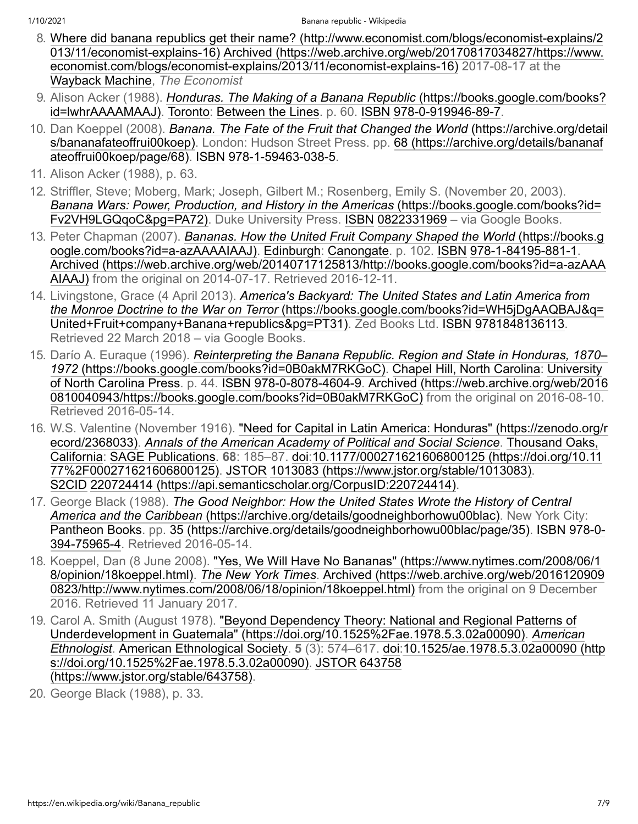- <span id="page-6-0"></span>8. [Where did banana republics get their name? \(http://www.economist.com/blogs/economist-explains/2](http://www.economist.com/blogs/economist-explains/2013/11/economist-explains-16) 013/11/economist-explains-16) Archived (https://web.archive.org/web/20170817034827/https://www. [economist.com/blogs/economist-explains/2013/11/economist-explains-16\) 2017-08-17 at the](https://web.archive.org/web/20170817034827/https://www.economist.com/blogs/economist-explains/2013/11/economist-explains-16) [Wayback Machine,](https://en.wikipedia.org/wiki/Wayback_Machine) *The Economist*
- <span id="page-6-1"></span>9. Alison Acker (1988). *Honduras. The Making of a Banana Republic* (https://books.google.com/books? [id=lwhrAAAAMAAJ\). Toronto: Between the Lines. p. 60. ISBN](https://books.google.com/books?id=lwhrAAAAMAAJ) [978-0-919946-89-7](https://en.wikipedia.org/wiki/Special:BookSources/978-0-919946-89-7).
- <span id="page-6-2"></span>10. Dan Koeppel (2008). *Banana. The Fate of the Fruit that Changed the World* (https://archive.org/detail [s/bananafateoffrui00koep\). London: Hudson Street Press. pp. 68 \(https://archive.org/details/bananaf](https://archive.org/details/bananafateoffrui00koep) ateoffrui00koep/page/68). [ISBN](https://en.wikipedia.org/wiki/ISBN_(identifier)) [978-1-59463-038-5](https://en.wikipedia.org/wiki/Special:BookSources/978-1-59463-038-5).
- <span id="page-6-3"></span>11. Alison Acker (1988), p. 63.
- <span id="page-6-5"></span>12. Striffler, Steve; Moberg, Mark; Joseph, Gilbert M.; Rosenberg, Emily S. (November 20, 2003). *[Banana Wars: Power, Production, and History in the Americas](https://books.google.com/books?id=Fv2VH9LGQqoC&pg=PA72)* (https://books.google.com/books?id= Fv2VH9LGQqoC&pg=PA72). Duke University Press. [ISBN](https://en.wikipedia.org/wiki/ISBN_(identifier)) [0822331969](https://en.wikipedia.org/wiki/Special:BookSources/0822331969) – via Google Books.
- <span id="page-6-4"></span>13. Peter Chapman (2007). *Bananas. How the United Fruit Company Shaped the World* (https://books.g [oogle.com/books?id=a-azAAAAIAAJ\). Edinburgh: Canongate. p. 102. ISBN](https://books.google.com/books?id=a-azAAAAIAAJ) [978-1-84195-881-1](https://en.wikipedia.org/wiki/Special:BookSources/978-1-84195-881-1). [Archived \(https://web.archive.org/web/20140717125813/http://books.google.com/books?id=a-azAAA](https://web.archive.org/web/20140717125813/http://books.google.com/books?id=a-azAAAAIAAJ) AIAAJ) from the original on 2014-07-17. Retrieved 2016-12-11.
- <span id="page-6-6"></span>14. Livingstone, Grace (4 April 2013). *America's Backyard: The United States and Latin America from the Monroe Doctrine to the War on Terror* (https://books.google.com/books?id=WH5jDgAAQBAJ&q= [United+Fruit+company+Banana+republics&pg=PT31\). Zed Books Ltd. ISBN](https://books.google.com/books?id=WH5jDgAAQBAJ&q=United+Fruit+company+Banana+republics&pg=PT31) [9781848136113.](https://en.wikipedia.org/wiki/Special:BookSources/9781848136113) Retrieved 22 March 2018 – via Google Books.
- <span id="page-6-7"></span>15. Darío A. Euraque (1996). *Reinterpreting the Banana Republic. Region and State in Honduras, 1870– 1972* [\(https://books.google.com/books?id=0B0akM7RKGoC\). Chapel Hill, North Carolina: University](https://books.google.com/books?id=0B0akM7RKGoC) of North Carolina Press. p. 44. [ISBN](https://en.wikipedia.org/wiki/ISBN_(identifier)) [978-0-8078-4604-9](https://en.wikipedia.org/wiki/Special:BookSources/978-0-8078-4604-9). Archived (https://web.archive.org/web/2016 [0810040943/https://books.google.com/books?id=0B0akM7RKGoC\) from the original on 2016-08-10.](https://web.archive.org/web/20160810040943/https://books.google.com/books?id=0B0akM7RKGoC) Retrieved 2016-05-14.
- <span id="page-6-8"></span>16. [W.S. Valentine \(November 1916\). "Need for Capital in Latin America: Honduras" \(https://zenodo.org/r](https://zenodo.org/record/2368033) ecord/2368033). *[Annals of the American Academy of Political and Social Science](https://en.wikipedia.org/wiki/Annals_of_the_American_Academy_of_Political_and_Social_Science)*. Thousand Oaks, California: [SAGE Publications.](https://en.wikipedia.org/wiki/SAGE_Publications) **68**[: 185–87. doi:10.1177/000271621606800125 \(https://doi.org/10.1](https://en.wikipedia.org/wiki/Thousand_Oaks,_California)[1](https://doi.org/10.1177%2F000271621606800125) 77%2F000271621606800125). [JSTOR](https://en.wikipedia.org/wiki/JSTOR_(identifier)) [1013083 \(https://www.jstor.org/stable/1013083\)](https://www.jstor.org/stable/1013083). [S2CID](https://en.wikipedia.org/wiki/S2CID_(identifier)) [220724414 \(https://api.semanticscholar.org/CorpusID:220724414\).](https://api.semanticscholar.org/CorpusID:220724414)
- <span id="page-6-9"></span>17. George Black (1988). *[The Good Neighbor: How the United States Wrote the History of Central](https://archive.org/details/goodneighborhowu00blac) America and the Caribbean* (https://archive.org/details/goodneighborhowu00blac). New York City: [Pantheon Book](https://en.wikipedia.org/wiki/Pantheon_Books)[s. pp. 3](https://en.wikipedia.org/wiki/Special:BookSources/978-0-394-75965-4)[5 \(https://archive.org/details/goodneighborhowu00blac/page/35](https://archive.org/details/goodneighborhowu00blac/page/35)[\).](https://en.wikipedia.org/wiki/Special:BookSources/978-0-394-75965-4) [ISBN](https://en.wikipedia.org/wiki/ISBN_(identifier)) 978-0- 394-75965-4. Retrieved 2016-05-14.
- <span id="page-6-10"></span>18. [Koeppel, Dan \(8 June 2008\). "Yes, We Will Have No Bananas" \(https://www.nytimes.com/2008/06/1](https://www.nytimes.com/2008/06/18/opinion/18koeppel.html) 8/opinion/18koeppel.html). *[The New York Times](https://en.wikipedia.org/wiki/The_New_York_Times)*. Archived (https://web.archive.org/web/2016120909 [0823/http://www.nytimes.com/2008/06/18/opinion/18koeppel.html\) from the original on 9 December](https://web.archive.org/web/20161209090823/http://www.nytimes.com/2008/06/18/opinion/18koeppel.html) 2016. Retrieved 11 January 2017.
- <span id="page-6-11"></span>19. [Carol A. Smith \(August 1978\). "Beyond Dependency Theory: National and Regional Patterns of](https://doi.org/10.1525%2Fae.1978.5.3.02a00090) [Underdevelopment in Guatemala" \(https://doi.org/10.1525%2Fae.1978.5.3.02a00090\).](https://en.wikipedia.org/wiki/American_Ethnologist) *American Ethnologist*. [American Ethnological Society](https://en.wikipedia.org/wiki/American_Ethnological_Society). **5** (3): 574–617. [doi:](https://en.wikipedia.org/wiki/Doi_(identifier))10.1525/ae.1978.5.3.02a00090 (http [s://doi.org/10.1525%2Fae.1978.5.3.02a00090\). JSTOR](https://doi.org/10.1525%2Fae.1978.5.3.02a00090) 643758 (https://www.jstor.org/stable/643758).
- <span id="page-6-12"></span>20. George Black (1988), p. 33.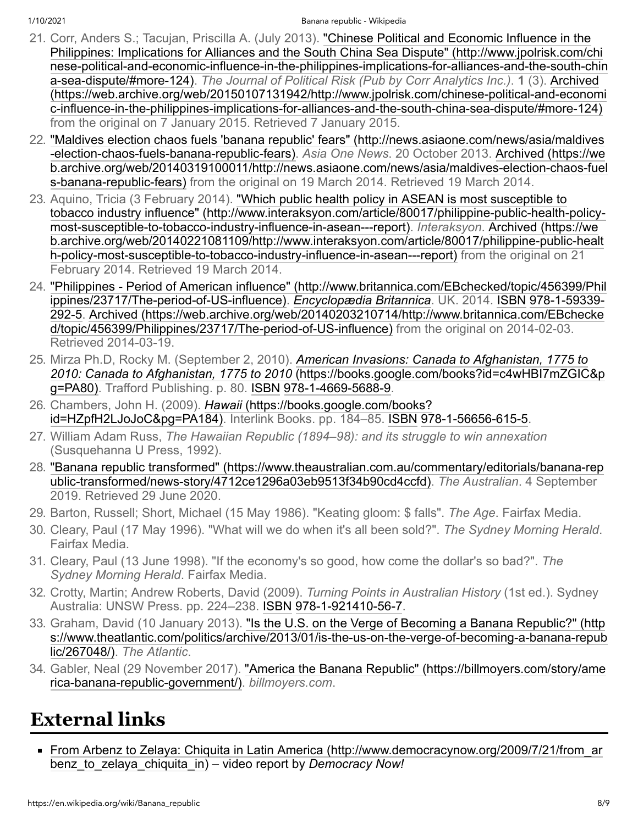- <span id="page-7-1"></span>21. Corr, Anders S.; Tacujan, Priscilla A. (July 2013). "Chinese Political and Economic Influence in the Philippines: Implications for Alliances and the South China Sea Dispute" (http://www.jpolrisk.com/chi [nese-political-and-economic-influence-in-the-philippines-implications-for-alliances-and-the-south-chin](http://www.jpolrisk.com/chinese-political-and-economic-influence-in-the-philippines-implications-for-alliances-and-the-south-china-sea-dispute/#more-124) a-sea-dispute/#more-124). *The Journal of Political Risk (Pub by Corr Analytics Inc.)*. **1** (3). Archived [\(https://web.archive.org/web/20150107131942/http://www.jpolrisk.com/chinese-political-and-economi](https://web.archive.org/web/20150107131942/http://www.jpolrisk.com/chinese-political-and-economic-influence-in-the-philippines-implications-for-alliances-and-the-south-china-sea-dispute/#more-124) c-influence-in-the-philippines-implications-for-alliances-and-the-south-china-sea-dispute/#more-124) from the original on 7 January 2015. Retrieved 7 January 2015.
- <span id="page-7-2"></span>22. ["Maldives election chaos fuels 'banana republic' fears" \(http://news.asiaone.com/news/asia/maldives](http://news.asiaone.com/news/asia/maldives-election-chaos-fuels-banana-republic-fears) -election-chaos-fuels-banana-republic-fears). *Asia One News*. 20 October 2013. Archived (https://we [b.archive.org/web/20140319100011/http://news.asiaone.com/news/asia/maldives-election-chaos-fuel](https://web.archive.org/web/20140319100011/http://news.asiaone.com/news/asia/maldives-election-chaos-fuels-banana-republic-fears) s-banana-republic-fears) from the original on 19 March 2014. Retrieved 19 March 2014.
- <span id="page-7-3"></span>23. Aquino, Tricia (3 February 2014). "Which public health policy in ASEAN is most susceptible to [tobacco industry influence" \(http://www.interaksyon.com/article/80017/philippine-public-health-policy](http://www.interaksyon.com/article/80017/philippine-public-health-policy-most-susceptible-to-tobacco-industry-influence-in-asean---report)most-susceptible-to-tobacco-industry-influence-in-asean---report). *Interaksyon*. Archived (https://we [b.archive.org/web/20140221081109/http://www.interaksyon.com/article/80017/philippine-public-healt](https://web.archive.org/web/20140221081109/http://www.interaksyon.com/article/80017/philippine-public-health-policy-most-susceptible-to-tobacco-industry-influence-in-asean---report) h-policy-most-susceptible-to-tobacco-industry-influence-in-asean---report) from the original on 21 February 2014. Retrieved 19 March 2014.
- <span id="page-7-4"></span>24. ["Philippines - Period of American influence" \(http://www.britannica.com/EBchecked/topic/456399/Phil](http://www.britannica.com/EBchecked/topic/456399/Philippines/23717/The-period-of-US-influence) ippines/23717/The-period-of-US-influence). *[Encyclopædia Britannica](https://en.wikipedia.org/wiki/Encyclop%C3%A6dia_Britannica)*. UK. 2014. [ISBN](https://en.wikipedia.org/wiki/ISBN_(identifier)) 978-1-59339- [292-5. Archived \(https://web.archive.org/web/20140203210714/http://www.britannica.com/EBchecke](https://en.wikipedia.org/wiki/Special:BookSources/978-1-59339-292-5) d/topic/456399/Philippines/23717/The-period-of-US-influence) from the original on 2014-02-03. Retrieved 2014-03-19.
- <span id="page-7-5"></span>25. Mirza Ph.D, Rocky M. (September 2, 2010). *American Invasions: Canada to Afghanistan, 1775 to 2010: Canada to Afghanistan, 1775 to 2010* [\(https://books.google.com/books?id=c4wHBI7mZGIC&p](https://books.google.com/books?id=c4wHBI7mZGIC&pg=PA80) g=PA80). Trafford Publishing. p. 80. [ISBN](https://en.wikipedia.org/wiki/ISBN_(identifier)) [978-1-4669-5688-9.](https://en.wikipedia.org/wiki/Special:BookSources/978-1-4669-5688-9)
- <span id="page-7-6"></span>26. Chambers, John H. (2009). *Hawaii* (https://books.google.com/books? [id=HZpfH2LJoJoC&pg=PA184\). Interlink Books. pp. 184–85. ISBN](https://books.google.com/books?id=HZpfH2LJoJoC&pg=PA184) [978-1-56656-615-5.](https://en.wikipedia.org/wiki/Special:BookSources/978-1-56656-615-5)
- <span id="page-7-7"></span>27. William Adam Russ, *The Hawaiian Republic (1894–98): and its struggle to win annexation* (Susquehanna U Press, 1992).
- <span id="page-7-8"></span>28. ["Banana republic transformed" \(https://www.theaustralian.com.au/commentary/editorials/banana-rep](https://www.theaustralian.com.au/commentary/editorials/banana-republic-transformed/news-story/4712ce1296a03eb9513f34b90cd4ccfd) ublic-transformed/news-story/4712ce1296a03eb9513f34b90cd4ccfd). *The Australian*. 4 September 2019. Retrieved 29 June 2020.
- <span id="page-7-9"></span>29. Barton, Russell; Short, Michael (15 May 1986). "Keating gloom: \$ falls". *The Age*. Fairfax Media.
- <span id="page-7-10"></span>30. Cleary, Paul (17 May 1996). "What will we do when it's all been sold?". *The Sydney Morning Herald*. Fairfax Media.
- <span id="page-7-11"></span>31. Cleary, Paul (13 June 1998). "If the economy's so good, how come the dollar's so bad?". *The Sydney Morning Herald*. Fairfax Media.
- <span id="page-7-12"></span>32. Crotty, Martin; Andrew Roberts, David (2009). *Turning Points in Australian History* (1st ed.). Sydney Australia: UNSW Press. pp. 224–238. [ISBN](https://en.wikipedia.org/wiki/ISBN_(identifier)) [978-1-921410-56-7](https://en.wikipedia.org/wiki/Special:BookSources/978-1-921410-56-7).
- <span id="page-7-13"></span>33. Graham, David (10 January 2013). "Is the U.S. on the Verge of Becoming a Banana Republic?" (http [s://www.theatlantic.com/politics/archive/2013/01/is-the-us-on-the-verge-of-becoming-a-banana-repub](https://www.theatlantic.com/politics/archive/2013/01/is-the-us-on-the-verge-of-becoming-a-banana-republic/267048/) lic/267048/). *The Atlantic*.
- <span id="page-7-14"></span>34. [Gabler, Neal \(29 November 2017\). "America the Banana Republic" \(https://billmoyers.com/story/ame](https://billmoyers.com/story/america-banana-republic-government/) rica-banana-republic-government/). *billmoyers.com*.

# <span id="page-7-0"></span>**External links**

■ [From Arbenz to Zelaya: Chiquita in Latin America \(http://www.democracynow.org/2009/7/21/from\\_ar](http://www.democracynow.org/2009/7/21/from_arbenz_to_zelaya_chiquita_in) benz\_to\_zelaya\_chiquita\_in) – video report by *Democracy Now!*